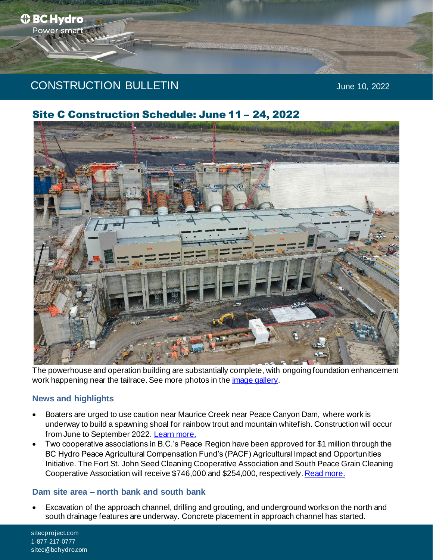# 182f CONSTRUCTION BULLETIN June 10, 2022

Site C Construction Schedule: June 11 – 24, 2022

The powerhouse and operation building are substantially complete, with ongoing foundation enhancement work happening near the tailrace. See more photos in the *image gallery*.

# **News and highlights**

- Boaters are urged to use caution near Maurice Creek near Peace Canyon Dam, where work is underway to build a spawning shoal for rainbow trout and mountain whitefish. Construction will occur from June to September 2022[. Learn more.](https://www.sitecproject.com/Boaters_caution_near_Maurice_Creek_spawning_Shoal)
- Two cooperative associations in B.C.'s Peace Region have been approved for \$1 million through the BC Hydro Peace Agricultural Compensation Fund's (PACF) Agricultural Impact and Opportunities Initiative. The Fort St. John Seed Cleaning Cooperative Association and South Peace Grain Cleaning Cooperative Association will receive \$746,000 and \$254,000, respectively[. Read more.](https://www.sitecproject.com/two_agriculture_asoc_receives_1_million_through_PACF)

# **Dam site area – north bank and south bank**

• Excavation of the approach channel, drilling and grouting, and underground works on the north and south drainage features are underway. Concrete placement in approach channel has started.

sitecproject.com 1-877-217-0777 sitec@bchydro.com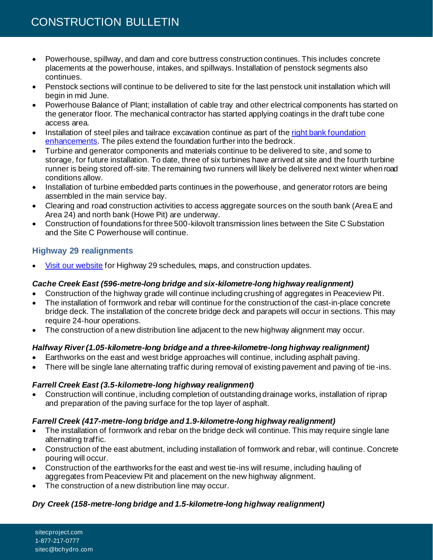- Powerhouse, spillway, and dam and core buttress construction continues. This includes concrete placements at the powerhouse, intakes, and spillways. Installation of penstock segments also continues.
- Penstock sections will continue to be delivered to site for the last penstock unit installation which will begin in mid June.
- Powerhouse Balance of Plant; installation of cable tray and other electrical components has started on the generator floor. The mechanical contractor has started applying coatings in the draft tube cone access area.
- Installation of steel piles and tailrace excavation continue as part of the right bank foundation [enhancements.](https://www.sitecproject.com/construction-activities/foundation-enhancements) The piles extend the foundation further into the bedrock.
- Turbine and generator components and materials continue to be delivered to site, and some to storage, for future installation. To date, three of six turbines have arrived at site and the fourth turbine runner is being stored off-site. The remaining two runners will likely be delivered next winter when road conditions allow.
- Installation of turbine embedded parts continues in the powerhouse, and generator rotors are being assembled in the main service bay.
- Clearing and road construction activities to access aggregate sources on the south bank (Area E and Area 24) and north bank (Howe Pit) are underway.
- Construction of foundations for three 500-kilovolt transmission lines between the Site C Substation and the Site C Powerhouse will continue.

# **Highway 29 realignments**

• [Visit our website](https://www.sitecproject.com/construction-activities/highway-29) for Highway 29 schedules, maps, and construction updates.

# *Cache Creek East (596-metre-long bridge and six-kilometre-long highway realignment)*

- Construction of the highway grade will continue including crushing of aggregates in Peaceview Pit.
- The installation of formwork and rebar will continue for the construction of the cast-in-place concrete bridge deck. The installation of the concrete bridge deck and parapets will occur in sections. This may require 24-hour operations.
- The construction of a new distribution line adjacent to the new highway alignment may occur.

# *Halfway River (1.05-kilometre-long bridge and a three-kilometre-long highway realignment)*

- Earthworks on the east and west bridge approaches will continue, including asphalt paving.
- There will be single lane alternating traffic during removal of existing pavement and paving of tie -ins.

# *Farrell Creek East (3.5-kilometre-long highway realignment)*

• Construction will continue, including completion of outstanding drainage works, installation of riprap and preparation of the paving surface for the top layer of asphalt.

# *Farrell Creek (417-metre-long bridge and 1.9-kilometre-long highway realignment)*

- The installation of formwork and rebar on the bridge deck will continue. This may require single lane alternating traffic.
- Construction of the east abutment, including installation of formwork and rebar, will continue. Concrete pouring will occur.
- Construction of the earthworks for the east and west tie-ins will resume, including hauling of aggregates from Peaceview Pit and placement on the new highway alignment.
- The construction of a new distribution line may occur.

# *Dry Creek (158-metre-long bridge and 1.5-kilometre-long highway realignment)*

sitecproject.com 1-877-217-0777 sitec@bchydro.com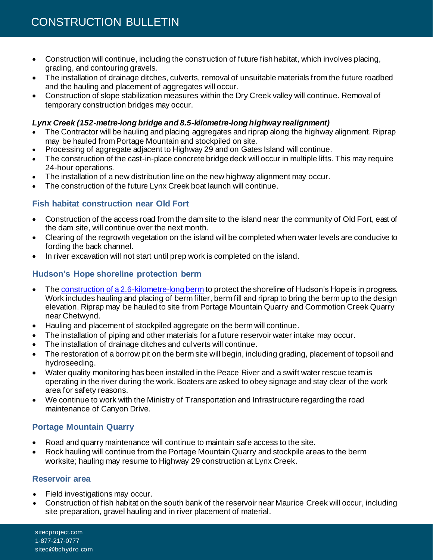- Construction will continue, including the construction of future fish habitat, which involves placing, grading, and contouring gravels.
- The installation of drainage ditches, culverts, removal of unsuitable materials from the future roadbed and the hauling and placement of aggregates will occur.
- Construction of slope stabilization measures within the Dry Creek valley will continue. Removal of temporary construction bridges may occur.

# *Lynx Creek (152-metre-long bridge and 8.5-kilometre-long highway realignment)*

- The Contractor will be hauling and placing aggregates and riprap along the highway alignment. Riprap may be hauled from Portage Mountain and stockpiled on site.
- Processing of aggregate adjacent to Highway 29 and on Gates Island will continue.
- The construction of the cast-in-place concrete bridge deck will occur in multiple lifts. This may require 24-hour operations.
- The installation of a new distribution line on the new highway alignment may occur.
- The construction of the future Lynx Creek boat launch will continue.

# **Fish habitat construction near Old Fort**

- Construction of the access road from the dam site to the island near the community of Old Fort, east of the dam site, will continue over the next month.
- Clearing of the regrowth vegetation on the island will be completed when water levels are conducive to fording the back channel.
- In river excavation will not start until prep work is completed on the island.

# **Hudson's Hope shoreline protection berm**

- Th[e construction of a 2.6-kilometre-long berm](https://www.sitecproject.com/hudsons-hope) to protect the shoreline of Hudson's Hope is in progress. Work includes hauling and placing of berm filter, berm fill and riprap to bring the berm up to the design elevation. Riprap may be hauled to site from Portage Mountain Quarry and Commotion Creek Quarry near Chetwynd.
- Hauling and placement of stockpiled aggregate on the berm will continue.
- The installation of piping and other materials for a future reservoir water intake may occur.
- The installation of drainage ditches and culverts will continue.
- The restoration of a borrow pit on the berm site will begin, including grading, placement of topsoil and hydroseeding.
- Water quality monitoring has been installed in the Peace River and a swift water rescue team is operating in the river during the work. Boaters are asked to obey signage and stay clear of the work area for safety reasons.
- We continue to work with the Ministry of Transportation and Infrastructure regarding the road maintenance of Canyon Drive.

# **Portage Mountain Quarry**

- Road and quarry maintenance will continue to maintain safe access to the site.
- Rock hauling will continue from the Portage Mountain Quarry and stockpile areas to the berm worksite; hauling may resume to Highway 29 construction at Lynx Creek.

# **Reservoir area**

- Field investigations may occur.
- Construction of fish habitat on the south bank of the reservoir near Maurice Creek will occur, including site preparation, gravel hauling and in river placement of material.

sitecproject.com 1-877-217-0777 sitec@bchydro.com